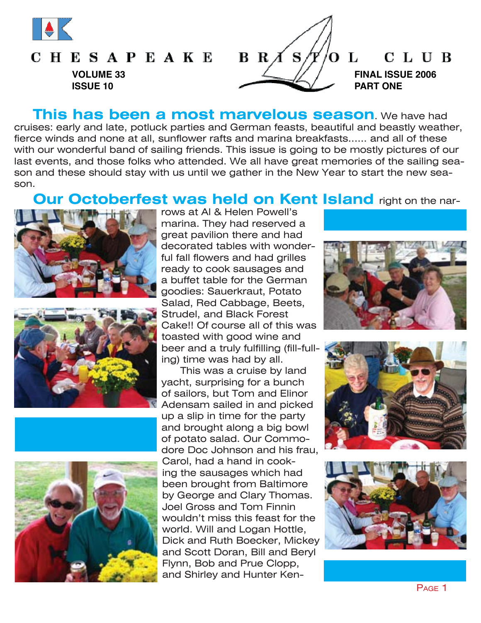

## **CHESAPEAKE VOLUME 33 ISSUE 10**



**This has been a most marvelous season**. We have had cruises: early and late, potluck parties and German feasts, beautiful and beastly weather, fierce winds and none at all, sunflower rafts and marina breakfasts...... and all of these with our wonderful band of sailing friends. This issue is going to be mostly pictures of our last events, and those folks who attended. We all have great memories of the sailing season and these should stay with us until we gather in the New Year to start the new season.

# **Our Octoberfest was held on Kent Island** right on the nar-









rows at Al & Helen Powell's marina. They had reserved a great pavilion there and had decorated tables with wonderful fall flowers and had grilles ready to cook sausages and a buffet table for the German goodies: Sauerkraut, Potato Salad, Red Cabbage, Beets, Strudel, and Black Forest Cake!! Of course all of this was toasted with good wine and beer and a truly fulfilling (fill-fulling) time was had by all.

This was a cruise by land yacht, surprising for a bunch of sailors, but Tom and Elinor Adensam sailed in and picked up a slip in time for the party and brought along a big bowl of potato salad. Our Commodore Doc Johnson and his frau, Carol, had a hand in cooking the sausages which had been brought from Baltimore by George and Clary Thomas. Joel Gross and Tom Finnin wouldn't miss this feast for the world. Will and Logan Hottle, Dick and Ruth Boecker, Mickey and Scott Doran, Bill and Beryl Flynn, Bob and Prue Clopp, and Shirley and Hunter Ken-







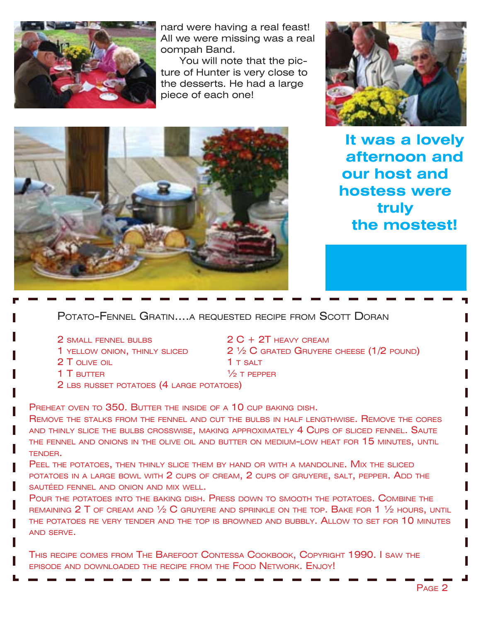

nard were having a real feast! All we were missing was a real oompah Band.

You will note that the picture of Hunter is very close to the desserts. He had a large piece of each one!





**It was a lovely afternoon and our host and hostess were truly the mostest!**

POTATO-FENNEL GRATIN....A REQUESTED RECIPE FROM SCOTT DORAN

- 
- 
- 2 T OLIVE OIL **1** T SALT
- $1$  T butter  $\frac{1}{2}$  T pepper
- 2 LBS RUSSET POTATOES (4 LARGE POTATOES)

PREHEAT OVEN TO 350. BUTTER THE INSIDE OF A 10 CUP BAKING DISH.

REMOVE THE STALKS FROM THE FENNEL AND CUT THE BULBS IN HALF LENGTHWISE. REMOVE THE CORES AND THINLY SLICE THE BULBS CROSSWISE, MAKING APPROXIMATELY 4 CUPS OF SLICED FENNEL. SAUTE THE FENNEL AND ONIONS IN THE OLIVE OIL AND BUTTER ON MEDIUM-LOW HEAT FOR 15 MINUTES, UNTIL TENDER.

PEEL THE POTATOES, THEN THINLY SLICE THEM BY HAND OR WITH A MANDOLINE. MIX THE SLICED POTATOES IN A LARGE BOWL WITH 2 CUPS OF CREAM, 2 CUPS OF GRUYERE, SALT, PEPPER. ADD THE SAUTÉED FENNEL AND ONION AND MIX WELL.

POUR THE POTATOES INTO THE BAKING DISH. PRESS DOWN TO SMOOTH THE POTATOES. COMBINE THE REMAINING 2 T OF CREAM AND  $\frac{1}{2}$  C gruyere and sprinkle on the top. Bake for 1  $\frac{1}{2}$  hours, until THE POTATOES RE VERY TENDER AND THE TOP IS BROWNED AND BUBBLY, ALLOW TO SET FOR 10 MINUTES AND SERVE.

THIS RECIPE COMES FROM THE BAREFOOT CONTESSA COOKBOOK, COPYRIGHT 1990. I SAW THE EPISODE AND DOWNLOADED THE RECIPE FROM THE FOOD NETWORK. ENJOY!

2 SMALL FENNEL BULBS 2 C + 2T HEAVY CREAM 1 YELLOW ONION, THINLY SLICED  $2\frac{1}{2}$  C grated Gruyere cheese (1/2 pound)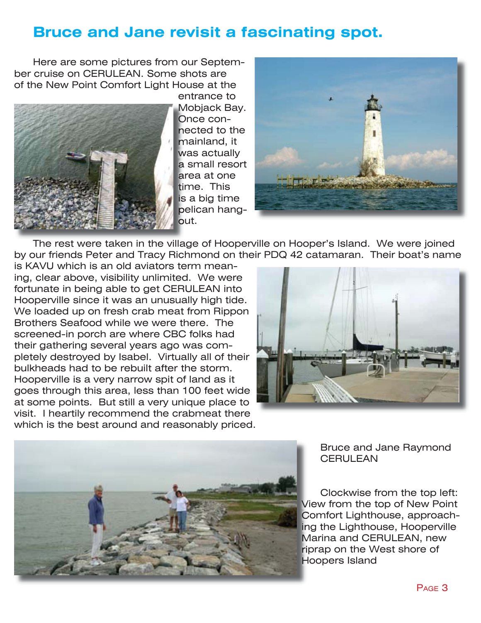# **Bruce and Jane revisit a fascinating spot.**

Here are some pictures from our September cruise on CERULEAN. Some shots are of the New Point Comfort Light House at the



entrance to Mobjack Bay. Once connected to the mainland, it was actually a small resort area at one time. This is a big time pelican hangout.



The rest were taken in the village of Hooperville on Hooper's Island. We were joined by our friends Peter and Tracy Richmond on their PDQ 42 catamaran. Their boat's name

is KAVU which is an old aviators term meaning, clear above, visibility unlimited. We were fortunate in being able to get CERULEAN into Hooperville since it was an unusually high tide. We loaded up on fresh crab meat from Rippon Brothers Seafood while we were there. The screened-in porch are where CBC folks had their gathering several years ago was completely destroyed by Isabel. Virtually all of their bulkheads had to be rebuilt after the storm. Hooperville is a very narrow spit of land as it goes through this area, less than 100 feet wide at some points. But still a very unique place to visit. I heartily recommend the crabmeat there which is the best around and reasonably priced.





Bruce and Jane Raymond **CERULEAN** 

Clockwise from the top left: View from the top of New Point Comfort Lighthouse, approaching the Lighthouse, Hooperville Marina and CERULEAN, new riprap on the West shore of Hoopers Island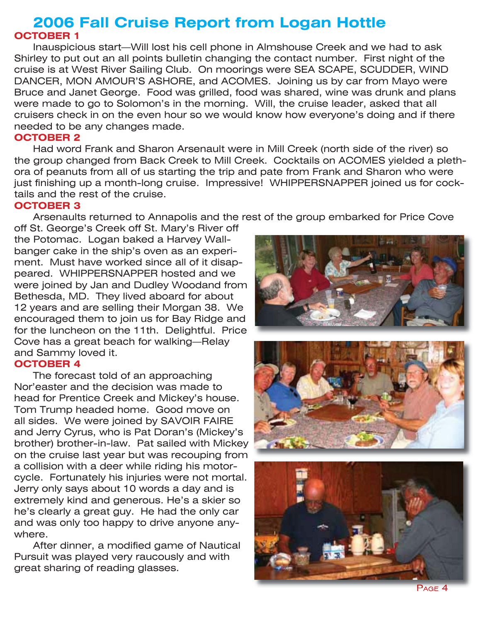## **2006 Fall Cruise Report from Logan Hottle OCTOBER 1**

Inauspicious start—Will lost his cell phone in Almshouse Creek and we had to ask Shirley to put out an all points bulletin changing the contact number. First night of the cruise is at West River Sailing Club. On moorings were SEA SCAPE, SCUDDER, WIND DANCER, MON AMOUR'S ASHORE, and ACOMES. Joining us by car from Mayo were Bruce and Janet George. Food was grilled, food was shared, wine was drunk and plans were made to go to Solomon's in the morning. Will, the cruise leader, asked that all cruisers check in on the even hour so we would know how everyone's doing and if there needed to be any changes made.

#### **OCTOBER 2**

Had word Frank and Sharon Arsenault were in Mill Creek (north side of the river) so the group changed from Back Creek to Mill Creek. Cocktails on ACOMES yielded a plethora of peanuts from all of us starting the trip and pate from Frank and Sharon who were just finishing up a month-long cruise. Impressive! WHIPPERSNAPPER joined us for cocktails and the rest of the cruise.

#### **OCTOBER 3**

Arsenaults returned to Annapolis and the rest of the group embarked for Price Cove

off St. George's Creek off St. Mary's River off the Potomac. Logan baked a Harvey Wallbanger cake in the ship's oven as an experiment. Must have worked since all of it disappeared. WHIPPERSNAPPER hosted and we were joined by Jan and Dudley Woodand from Bethesda, MD. They lived aboard for about 12 years and are selling their Morgan 38. We encouraged them to join us for Bay Ridge and for the luncheon on the 11th. Delightful. Price Cove has a great beach for walking—Relay and Sammy loved it.

#### **OCTOBER 4**

The forecast told of an approaching Nor'easter and the decision was made to head for Prentice Creek and Mickey's house. Tom Trump headed home. Good move on all sides. We were joined by SAVOIR FAIRE and Jerry Cyrus, who is Pat Doran's (Mickey's brother) brother-in-law. Pat sailed with Mickey on the cruise last year but was recouping from a collision with a deer while riding his motorcycle. Fortunately his injuries were not mortal. Jerry only says about 10 words a day and is extremely kind and generous. He's a skier so he's clearly a great guy. He had the only car and was only too happy to drive anyone anywhere.

After dinner, a modified game of Nautical Pursuit was played very raucously and with great sharing of reading glasses.







PAGE 4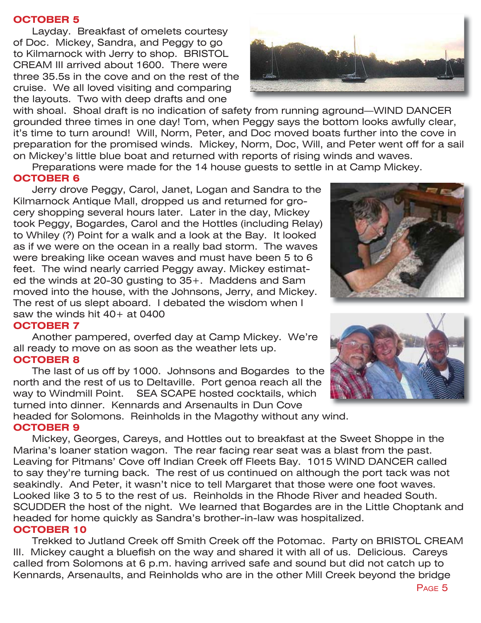#### **OCTOBER 5**

Layday. Breakfast of omelets courtesy of Doc. Mickey, Sandra, and Peggy to go to Kilmarnock with Jerry to shop. BRISTOL CREAM III arrived about 1600. There were three 35.5s in the cove and on the rest of the cruise. We all loved visiting and comparing the layouts. Two with deep drafts and one

with shoal. Shoal draft is no indication of safety from running aground—WIND DANCER grounded three times in one day! Tom, when Peggy says the bottom looks awfully clear, it's time to turn around! Will, Norm, Peter, and Doc moved boats further into the cove in preparation for the promised winds. Mickey, Norm, Doc, Will, and Peter went off for a sail on Mickey's little blue boat and returned with reports of rising winds and waves.

Preparations were made for the 14 house guests to settle in at Camp Mickey.

#### **OCTOBER 6**

Jerry drove Peggy, Carol, Janet, Logan and Sandra to the Kilmarnock Antique Mall, dropped us and returned for grocery shopping several hours later. Later in the day, Mickey took Peggy, Bogardes, Carol and the Hottles (including Relay) to Whiley (?) Point for a walk and a look at the Bay. It looked as if we were on the ocean in a really bad storm. The waves were breaking like ocean waves and must have been 5 to 6 feet. The wind nearly carried Peggy away. Mickey estimated the winds at 20-30 gusting to 35+. Maddens and Sam moved into the house, with the Johnsons, Jerry, and Mickey. The rest of us slept aboard. I debated the wisdom when I saw the winds hit 40+ at 0400

#### **OCTOBER 7**

Another pampered, overfed day at Camp Mickey. We're all ready to move on as soon as the weather lets up. **OCTOBER 8**

The last of us off by 1000. Johnsons and Bogardes to the north and the rest of us to Deltaville. Port genoa reach all the way to Windmill Point. SEA SCAPE hosted cocktails, which turned into dinner. Kennards and Arsenaults in Dun Cove

headed for Solomons. Reinholds in the Magothy without any wind. **OCTOBER 9**

Mickey, Georges, Careys, and Hottles out to breakfast at the Sweet Shoppe in the Marina's loaner station wagon. The rear facing rear seat was a blast from the past. Leaving for Pitmans' Cove off Indian Creek off Fleets Bay. 1015 WIND DANCER called to say they're turning back. The rest of us continued on although the port tack was not seakindly. And Peter, it wasn't nice to tell Margaret that those were one foot waves. Looked like 3 to 5 to the rest of us. Reinholds in the Rhode River and headed South. SCUDDER the host of the night. We learned that Bogardes are in the Little Choptank and headed for home quickly as Sandra's brother-in-law was hospitalized. **OCTOBER 10**

Trekked to Jutland Creek off Smith Creek off the Potomac. Party on BRISTOL CREAM III. Mickey caught a bluefish on the way and shared it with all of us. Delicious. Careys called from Solomons at 6 p.m. having arrived safe and sound but did not catch up to Kennards, Arsenaults, and Reinholds who are in the other Mill Creek beyond the bridge





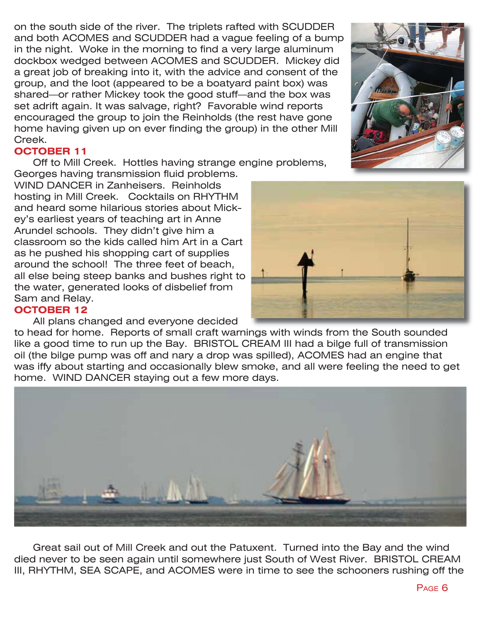on the south side of the river. The triplets rafted with SCUDDER and both ACOMES and SCUDDER had a vague feeling of a bump in the night. Woke in the morning to find a very large aluminum dockbox wedged between ACOMES and SCUDDER. Mickey did a great job of breaking into it, with the advice and consent of the group, and the loot (appeared to be a boatyard paint box) was shared—or rather Mickey took the good stuff—and the box was set adrift again. It was salvage, right? Favorable wind reports encouraged the group to join the Reinholds (the rest have gone home having given up on ever finding the group) in the other Mill Creek.

#### **OCTOBER 11**

Off to Mill Creek. Hottles having strange engine problems,

Georges having transmission fluid problems. WIND DANCER in Zanheisers. Reinholds hosting in Mill Creek. Cocktails on RHYTHM and heard some hilarious stories about Mickey's earliest years of teaching art in Anne Arundel schools. They didn't give him a classroom so the kids called him Art in a Cart as he pushed his shopping cart of supplies around the school! The three feet of beach, all else being steep banks and bushes right to the water, generated looks of disbelief from Sam and Relay.

#### **OCTOBER 12**

#### All plans changed and everyone decided

to head for home. Reports of small craft warnings with winds from the South sounded like a good time to run up the Bay. BRISTOL CREAM III had a bilge full of transmission oil (the bilge pump was off and nary a drop was spilled), ACOMES had an engine that was iffy about starting and occasionally blew smoke, and all were feeling the need to get home. WIND DANCER staying out a few more days.



Great sail out of Mill Creek and out the Patuxent. Turned into the Bay and the wind died never to be seen again until somewhere just South of West River. BRISTOL CREAM III, RHYTHM, SEA SCAPE, and ACOMES were in time to see the schooners rushing off the



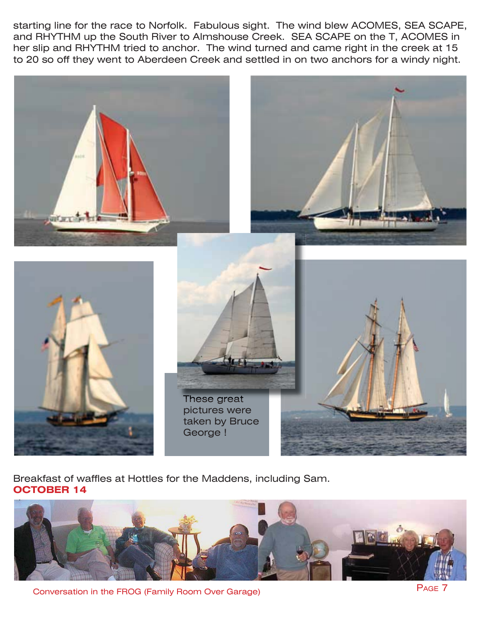starting line for the race to Norfolk. Fabulous sight. The wind blew ACOMES, SEA SCAPE, and RHYTHM up the South River to Almshouse Creek. SEA SCAPE on the T, ACOMES in her slip and RHYTHM tried to anchor. The wind turned and came right in the creek at 15 to 20 so off they went to Aberdeen Creek and settled in on two anchors for a windy night.



Breakfast of waffles at Hottles for the Maddens, including Sam. **OCTOBER 14**



Conversation in the FROG (Family Room Over Garage)

PAGE 7